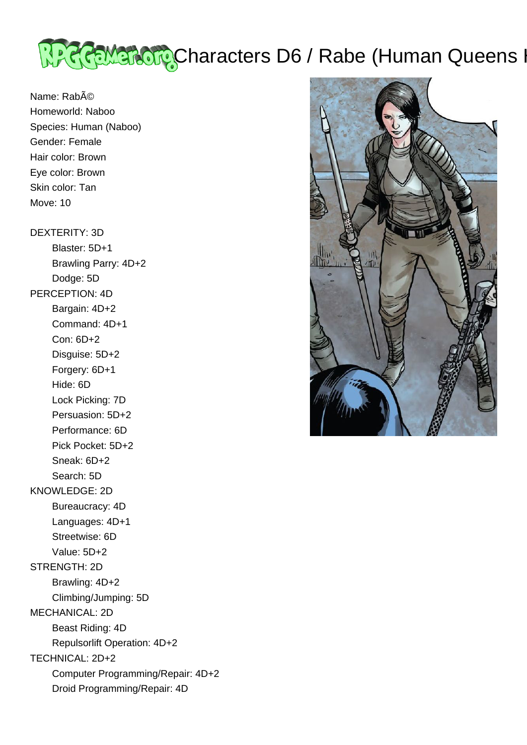

Name: Rabé Homeworld: Naboo Species: Human (Naboo) Gender: Female Hair color: Brown Eye color: Brown Skin color: Tan Move: 10

## DEXTERITY: 3D

 Blaster: 5D+1 Brawling Parry: 4D+2 Dodge: 5D PERCEPTION: 4D Bargain: 4D+2 Command: 4D+1 Con: 6D+2 Disguise: 5D+2 Forgery: 6D+1 Hide: 6D Lock Picking: 7D Persuasion: 5D+2 Performance: 6D Pick Pocket: 5D+2 Sneak: 6D+2 Search: 5D KNOWLEDGE: 2D Bureaucracy: 4D Languages: 4D+1 Streetwise: 6D Value: 5D+2 STRENGTH: 2D Brawling: 4D+2 Climbing/Jumping: 5D MECHANICAL: 2D Beast Riding: 4D Repulsorlift Operation: 4D+2 TECHNICAL: 2D+2 Computer Programming/Repair: 4D+2 Droid Programming/Repair: 4D

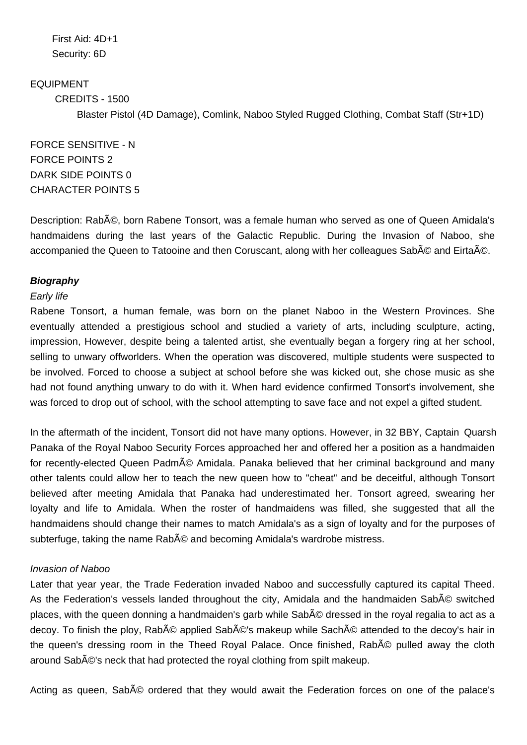First Aid: 4D+1 Security: 6D

EQUIPMENT CREDITS - 1500 Blaster Pistol (4D Damage), Comlink, Naboo Styled Rugged Clothing, Combat Staff (Str+1D)

FORCE SENSITIVE - N FORCE POINTS 2 DARK SIDE POINTS 0 CHARACTER POINTS 5

Description: Rabé, born Rabene Tonsort, was a female human who served as one of Queen Amidala's handmaidens during the last years of the Galactic Republic. During the Invasion of Naboo, she accompanied the Queen to Tatooine and then Coruscant, along with her colleagues SabA © and EirtaA ©.

## **Biography**

## Early life

Rabene Tonsort, a human female, was born on the planet Naboo in the Western Provinces. She eventually attended a prestigious school and studied a variety of arts, including sculpture, acting, impression, However, despite being a talented artist, she eventually began a forgery ring at her school, selling to unwary offworlders. When the operation was discovered, multiple students were suspected to be involved. Forced to choose a subject at school before she was kicked out, she chose music as she had not found anything unwary to do with it. When hard evidence confirmed Tonsort's involvement, she was forced to drop out of school, with the school attempting to save face and not expel a gifted student.

In the aftermath of the incident, Tonsort did not have many options. However, in 32 BBY, Captain Quarsh Panaka of the Royal Naboo Security Forces approached her and offered her a position as a handmaiden for recently-elected Queen Padmé Amidala. Panaka believed that her criminal background and many other talents could allow her to teach the new queen how to "cheat" and be deceitful, although Tonsort believed after meeting Amidala that Panaka had underestimated her. Tonsort agreed, swearing her loyalty and life to Amidala. When the roster of handmaidens was filled, she suggested that all the handmaidens should change their names to match Amidala's as a sign of loyalty and for the purposes of subterfuge, taking the name Rab© and becoming Amidala's wardrobe mistress.

#### Invasion of Naboo

Later that year year, the Trade Federation invaded Naboo and successfully captured its capital Theed. As the Federation's vessels landed throughout the city, Amidala and the handmaiden SabA© switched places, with the queen donning a handmaiden's garb while Sab© dressed in the royal regalia to act as a decoy. To finish the ploy, Rabé applied Sabé's makeup while Saché attended to the decoy's hair in the queen's dressing room in the Theed Royal Palace. Once finished. Rab© pulled away the cloth around Sab $\tilde{A}$ ©'s neck that had protected the royal clothing from spilt makeup.

Acting as queen, Sab<sub>A</sub>© ordered that they would await the Federation forces on one of the palace's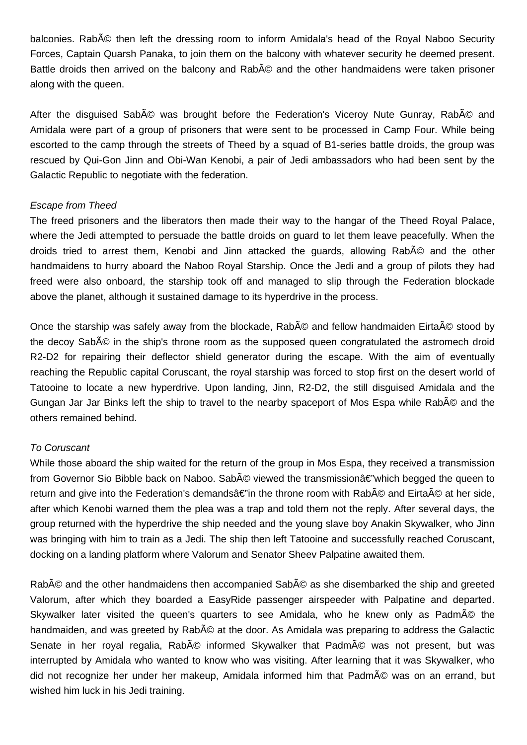balconies. Rabé then left the dressing room to inform Amidala's head of the Royal Naboo Security Forces, Captain Quarsh Panaka, to join them on the balcony with whatever security he deemed present. Battle droids then arrived on the balcony and Rab© and the other handmaidens were taken prisoner along with the queen.

After the disguised Sabé was brought before the Federation's Viceroy Nute Gunray, Rabé and Amidala were part of a group of prisoners that were sent to be processed in Camp Four. While being escorted to the camp through the streets of Theed by a squad of B1-series battle droids, the group was rescued by Qui-Gon Jinn and Obi-Wan Kenobi, a pair of Jedi ambassadors who had been sent by the Galactic Republic to negotiate with the federation.

### Escape from Theed

The freed prisoners and the liberators then made their way to the hangar of the Theed Royal Palace, where the Jedi attempted to persuade the battle droids on guard to let them leave peacefully. When the droids tried to arrest them, Kenobi and Jinn attacked the guards, allowing Rab<sub>A</sub>© and the other handmaidens to hurry aboard the Naboo Royal Starship. Once the Jedi and a group of pilots they had freed were also onboard, the starship took off and managed to slip through the Federation blockade above the planet, although it sustained damage to its hyperdrive in the process.

Once the starship was safely away from the blockade, Rabé and fellow handmaiden Eirtaé stood bv the decoy Sab<sub>A</sub>© in the ship's throne room as the supposed queen congratulated the astromech droid R2-D2 for repairing their deflector shield generator during the escape. With the aim of eventually reaching the Republic capital Coruscant, the royal starship was forced to stop first on the desert world of Tatooine to locate a new hyperdrive. Upon landing, Jinn, R2-D2, the still disguised Amidala and the Gungan Jar Jar Binks left the ship to travel to the nearby spaceport of Mos Espa while RabA © and the others remained behind.

### To Coruscant

While those aboard the ship waited for the return of the group in Mos Espa, they received a transmission from Governor Sio Bibble back on Naboo. Sabé viewed the transmissionâ€"which begged the queen to return and give into the Federation's demandsâ $\epsilon$ "in the throne room with Rab© and Eirtaé at her side, after which Kenobi warned them the plea was a trap and told them not the reply. After several days, the group returned with the hyperdrive the ship needed and the young slave boy Anakin Skywalker, who Jinn was bringing with him to train as a Jedi. The ship then left Tatooine and successfully reached Coruscant, docking on a landing platform where Valorum and Senator Sheev Palpatine awaited them.

Rabé and the other handmaidens then accompanied Sabé as she disembarked the ship and greeted Valorum, after which they boarded a EasyRide passenger airspeeder with Palpatine and departed. Skywalker later visited the queen's quarters to see Amidala, who he knew only as Padmé the handmaiden, and was greeted by Rabé at the door. As Amidala was preparing to address the Galactic Senate in her royal regalia, Rabé informed Skywalker that Padmé was not present, but was interrupted by Amidala who wanted to know who was visiting. After learning that it was Skywalker, who did not recognize her under her makeup, Amidala informed him that Padmé was on an errand, but wished him luck in his Jedi training.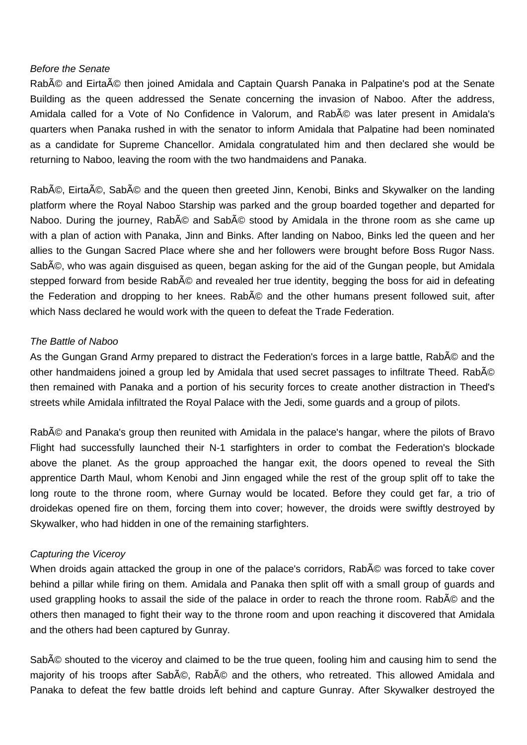### Before the Senate

Rabé and Eirtaé then joined Amidala and Captain Quarsh Panaka in Palpatine's pod at the Senate Building as the queen addressed the Senate concerning the invasion of Naboo. After the address, Amidala called for a Vote of No Confidence in Valorum, and Rab© was later present in Amidala's quarters when Panaka rushed in with the senator to inform Amidala that Palpatine had been nominated as a candidate for Supreme Chancellor. Amidala congratulated him and then declared she would be returning to Naboo, leaving the room with the two handmaidens and Panaka.

Rabé, Eirtaé, Sabé and the queen then greeted Jinn, Kenobi, Binks and Skywalker on the landing platform where the Royal Naboo Starship was parked and the group boarded together and departed for Naboo. During the journey. Rabé and Sabé stood by Amidala in the throne room as she came up with a plan of action with Panaka, Jinn and Binks. After landing on Naboo, Binks led the queen and her allies to the Gungan Sacred Place where she and her followers were brought before Boss Rugor Nass. Sabé, who was again disguised as queen, began asking for the aid of the Gungan people, but Amidala stepped forward from beside Rabé and revealed her true identity, begging the boss for aid in defeating the Federation and dropping to her knees. Rabé and the other humans present followed suit, after which Nass declared he would work with the queen to defeat the Trade Federation.

## The Battle of Naboo

As the Gungan Grand Army prepared to distract the Federation's forces in a large battle, RabA© and the other handmaidens joined a group led by Amidala that used secret passages to infiltrate Theed. Rab© then remained with Panaka and a portion of his security forces to create another distraction in Theed's streets while Amidala infiltrated the Royal Palace with the Jedi, some guards and a group of pilots.

Rabé and Panaka's group then reunited with Amidala in the palace's hangar, where the pilots of Bravo Flight had successfully launched their N-1 starfighters in order to combat the Federation's blockade above the planet. As the group approached the hangar exit, the doors opened to reveal the Sith apprentice Darth Maul, whom Kenobi and Jinn engaged while the rest of the group split off to take the long route to the throne room, where Gurnay would be located. Before they could get far, a trio of droidekas opened fire on them, forcing them into cover; however, the droids were swiftly destroyed by Skywalker, who had hidden in one of the remaining starfighters.

#### Capturing the Viceroy

When droids again attacked the group in one of the palace's corridors, Rab<sub>A</sub>
© was forced to take cover behind a pillar while firing on them. Amidala and Panaka then split off with a small group of guards and used grappling hooks to assail the side of the palace in order to reach the throne room. Rabé and the others then managed to fight their way to the throne room and upon reaching it discovered that Amidala and the others had been captured by Gunray.

Sab<sub>A</sub>
© shouted to the viceroy and claimed to be the true queen, fooling him and causing him to send the majority of his troops after Sabé, Rabé and the others, who retreated. This allowed Amidala and Panaka to defeat the few battle droids left behind and capture Gunray. After Skywalker destroyed the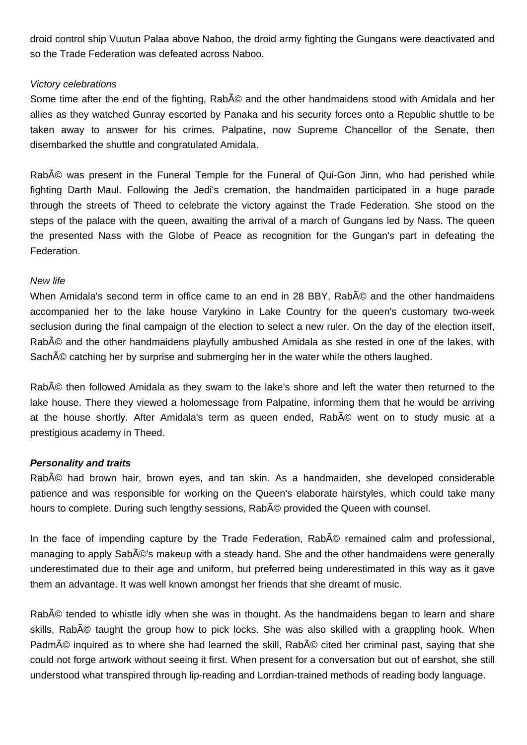droid control ship Vuutun Palaa above Naboo, the droid army fighting the Gungans were deactivated and so the Trade Federation was defeated across Naboo.

## Victory celebrations

Some time after the end of the fighting, RabA © and the other handmaidens stood with Amidala and her allies as they watched Gunray escorted by Panaka and his security forces onto a Republic shuttle to be taken away to answer for his crimes. Palpatine, now Supreme Chancellor of the Senate, then disembarked the shuttle and congratulated Amidala.

Rab© was present in the Funeral Temple for the Funeral of Qui-Gon Jinn, who had perished while fighting Darth Maul. Following the Jedi's cremation, the handmaiden participated in a huge parade through the streets of Theed to celebrate the victory against the Trade Federation. She stood on the steps of the palace with the queen, awaiting the arrival of a march of Gungans led by Nass. The queen the presented Nass with the Globe of Peace as recognition for the Gungan's part in defeating the Federation.

### New life

When Amidala's second term in office came to an end in 28 BBY, Rab<sub>A</sub>
© and the other handmaidens accompanied her to the lake house Varykino in Lake Country for the queen's customary two-week seclusion during the final campaign of the election to select a new ruler. On the day of the election itself, Rabé and the other handmaidens playfully ambushed Amidala as she rested in one of the lakes, with Sach<sub>A</sub> catching her by surprise and submerging her in the water while the others laughed.

Rab© then followed Amidala as they swam to the lake's shore and left the water then returned to the lake house. There they viewed a holomessage from Palpatine, informing them that he would be arriving at the house shortly. After Amidala's term as queen ended, Rab© went on to study music at a prestigious academy in Theed.

## **Personality and traits**

Rabé had brown hair, brown eyes, and tan skin. As a handmaiden, she developed considerable patience and was responsible for working on the Queen's elaborate hairstyles, which could take many hours to complete. During such lengthy sessions, Rab<sub>A</sub>
© provided the Queen with counsel.

In the face of impending capture by the Trade Federation, Rabé remained calm and professional, managing to apply Sabé's makeup with a steady hand. She and the other handmaidens were generally underestimated due to their age and uniform, but preferred being underestimated in this way as it gave them an advantage. It was well known amongst her friends that she dreamt of music.

Rabé tended to whistle idly when she was in thought. As the handmaidens began to learn and share skills, Rabé taught the group how to pick locks. She was also skilled with a grappling hook. When Padmé inquired as to where she had learned the skill, Rabé cited her criminal past, saying that she could not forge artwork without seeing it first. When present for a conversation but out of earshot, she still understood what transpired through lip-reading and Lorrdian-trained methods of reading body language.